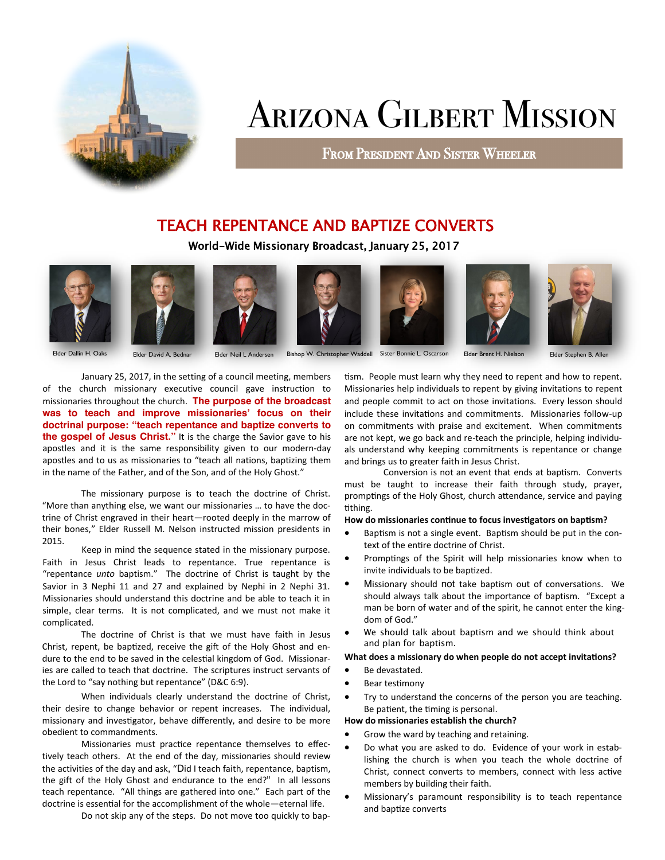

### Arizona Gilbert Mission

From President And Sister Wheeler

#### TEACH REPENTANCE AND BAPTIZE CONVERTS

World-Wide Missionary Broadcast, January 25, 2017













Elder Dallin H. Oaks Elder David A. Bednar Elder Neil L Andersen Bishop W. Christopher Waddell Sister Bonnie L. Oscarson Elder Brent H. Nielson Elder Stephen B. Allen

January 25, 2017, in the setting of a council meeting, members of the church missionary executive council gave instruction to missionaries throughout the church. **The purpose of the broadcast was to teach and improve missionaries' focus on their doctrinal purpose: "teach repentance and baptize converts to the gospel of Jesus Christ."** It is the charge the Savior gave to his apostles and it is the same responsibility given to our modern-day apostles and to us as missionaries to "teach all nations, baptizing them in the name of the Father, and of the Son, and of the Holy Ghost."

The missionary purpose is to teach the doctrine of Christ. "More than anything else, we want our missionaries … to have the doctrine of Christ engraved in their heart—rooted deeply in the marrow of their bones," Elder Russell M. Nelson instructed mission presidents in 2015.

Keep in mind the sequence stated in the missionary purpose. Faith in Jesus Christ leads to repentance. True repentance is "repentance *unto* baptism." The doctrine of Christ is taught by the Savior in 3 Nephi 11 and 27 and explained by Nephi in 2 Nephi 31. Missionaries should understand this doctrine and be able to teach it in simple, clear terms. It is not complicated, and we must not make it complicated.

The doctrine of Christ is that we must have faith in Jesus Christ, repent, be baptized, receive the gift of the Holy Ghost and endure to the end to be saved in the celestial kingdom of God. Missionaries are called to teach that doctrine. The scriptures instruct servants of the Lord to "say nothing but repentance" (D&C 6:9).

When individuals clearly understand the doctrine of Christ, their desire to change behavior or repent increases. The individual, missionary and investigator, behave differently, and desire to be more obedient to commandments.

Missionaries must practice repentance themselves to effectively teach others. At the end of the day, missionaries should review the activities of the day and ask, "Did I teach faith, repentance, baptism, the gift of the Holy Ghost and endurance to the end?" In all lessons teach repentance. "All things are gathered into one." Each part of the doctrine is essential for the accomplishment of the whole—eternal life.

Do not skip any of the steps. Do not move too quickly to bap-

tism. People must learn why they need to repent and how to repent. Missionaries help individuals to repent by giving invitations to repent and people commit to act on those invitations. Every lesson should include these invitations and commitments. Missionaries follow-up on commitments with praise and excitement. When commitments are not kept, we go back and re-teach the principle, helping individuals understand why keeping commitments is repentance or change and brings us to greater faith in Jesus Christ.

Conversion is not an event that ends at baptism. Converts must be taught to increase their faith through study, prayer, promptings of the Holy Ghost, church attendance, service and paying tithing.

#### **How do missionaries continue to focus investigators on baptism?**

- Baptism is not a single event. Baptism should be put in the context of the entire doctrine of Christ.
- Promptings of the Spirit will help missionaries know when to invite individuals to be baptized.
- Missionary should not take baptism out of conversations. We should always talk about the importance of baptism. "Except a man be born of water and of the spirit, he cannot enter the kingdom of God."
- We should talk about baptism and we should think about and plan for baptism.

#### **What does a missionary do when people do not accept invitations?**

- Be devastated.
- Bear testimony
- Try to understand the concerns of the person you are teaching. Be patient, the timing is personal.

#### **How do missionaries establish the church?**

- Grow the ward by teaching and retaining.
- Do what you are asked to do. Evidence of your work in establishing the church is when you teach the whole doctrine of Christ, connect converts to members, connect with less active members by building their faith.
- Missionary's paramount responsibility is to teach repentance and baptize converts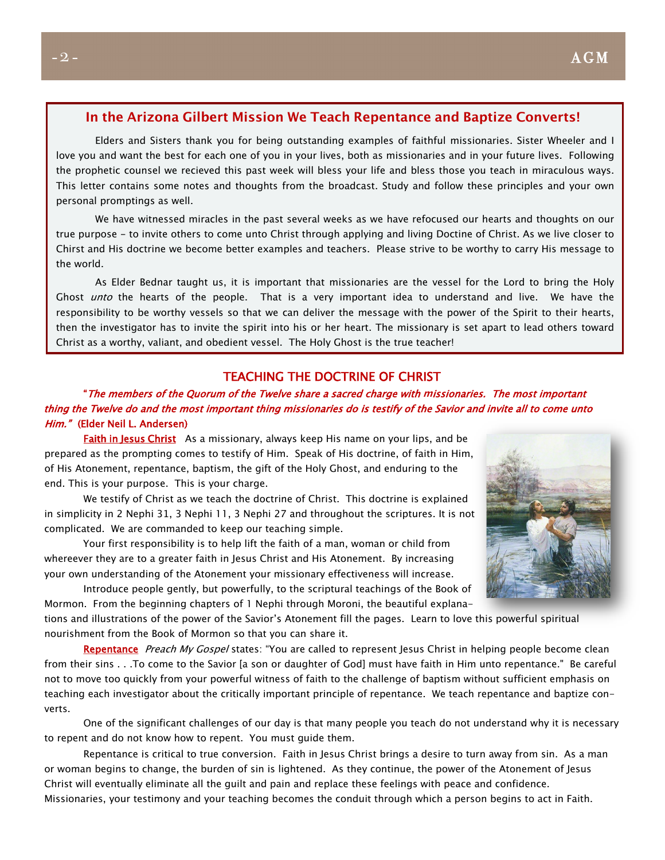#### **In the Arizona Gilbert Mission We Teach Repentance and Baptize Converts!**

Elders and Sisters thank you for being outstanding examples of faithful missionaries. Sister Wheeler and I love you and want the best for each one of you in your lives, both as missionaries and in your future lives. Following the prophetic counsel we recieved this past week will bless your life and bless those you teach in miraculous ways. This letter contains some notes and thoughts from the broadcast. Study and follow these principles and your own personal promptings as well.

We have witnessed miracles in the past several weeks as we have refocused our hearts and thoughts on our true purpose - to invite others to come unto Christ through applying and living Doctine of Christ. As we live closer to Chirst and His doctrine we become better examples and teachers. Please strive to be worthy to carry His message to the world.

As Elder Bednar taught us, it is important that missionaries are the vessel for the Lord to bring the Holy Ghost *unto* the hearts of the people. That is a very important idea to understand and live. We have the responsibility to be worthy vessels so that we can deliver the message with the power of the Spirit to their hearts, then the investigator has to invite the spirit into his or her heart. The missionary is set apart to lead others toward Christ as a worthy, valiant, and obedient vessel. The Holy Ghost is the true teacher!

#### TEACHING THE DOCTRINE OF CHRIST

#### "The members of the Quorum of the Twelve share a sacred charge with **m**issionaries. The most important thing the Twelve do and the most important thing missionaries do is testify of the Savior and invite all to come unto Him." (Elder Neil L. Andersen)

Faith in Jesus Christ As a missionary, always keep His name on your lips, and be prepared as the prompting comes to testify of Him. Speak of His doctrine, of faith in Him, of His Atonement, repentance, baptism, the gift of the Holy Ghost, and enduring to the end. This is your purpose. This is your charge.

We testify of Christ as we teach the doctrine of Christ. This doctrine is explained in simplicity in 2 Nephi 31, 3 Nephi 11, 3 Nephi 27 and throughout the scriptures. It is not complicated. We are commanded to keep our teaching simple.

Your first responsibility is to help lift the faith of a man, woman or child from whereever they are to a greater faith in Jesus Christ and His Atonement. By increasing your own understanding of the Atonement your missionary effectiveness will increase.

Introduce people gently, but powerfully, to the scriptural teachings of the Book of Mormon. From the beginning chapters of 1 Nephi through Moroni, the beautiful explana-

tions and illustrations of the power of the Savior's Atonement fill the pages. Learn to love this powerful spiritual nourishment from the Book of Mormon so that you can share it.

Repentance Preach My Gospel states: "You are called to represent Jesus Christ in helping people become clean from their sins . . .To come to the Savior [a son or daughter of God] must have faith in Him unto repentance." Be careful not to move too quickly from your powerful witness of faith to the challenge of baptism without sufficient emphasis on teaching each investigator about the critically important principle of repentance. We teach repentance and baptize converts.

One of the significant challenges of our day is that many people you teach do not understand why it is necessary to repent and do not know how to repent. You must guide them.

Repentance is critical to true conversion. Faith in Jesus Christ brings a desire to turn away from sin. As a man or woman begins to change, the burden of sin is lightened. As they continue, the power of the Atonement of Jesus Christ will eventually eliminate all the guilt and pain and replace these feelings with peace and confidence. Missionaries, your testimony and your teaching becomes the conduit through which a person begins to act in Faith.